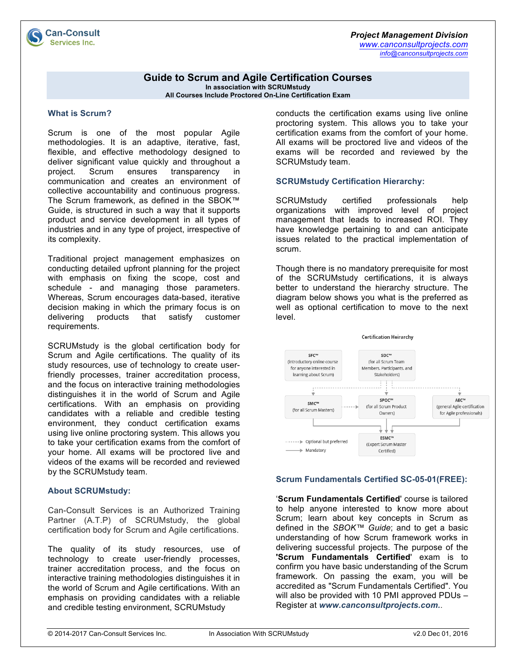

## **Guide to Scrum and Agile Certification Courses**

**In association with SCRUMstudy All Courses Include Proctored On-Line Certification Exam**

#### **What is Scrum?**

**Can-Consult Services Inc.** 

Scrum is one of the most popular Agile methodologies. It is an adaptive, iterative, fast, flexible, and effective methodology designed to deliver significant value quickly and throughout a project. Scrum ensures transparency in communication and creates an environment of collective accountability and continuous progress. The Scrum framework, as defined in the SBOK™ Guide, is structured in such a way that it supports product and service development in all types of industries and in any type of project, irrespective of its complexity.

Traditional project management emphasizes on conducting detailed upfront planning for the project with emphasis on fixing the scope, cost and schedule - and managing those parameters. Whereas, Scrum encourages data-based, iterative decision making in which the primary focus is on delivering products that satisfy customer requirements.

SCRUMstudy is the global certification body for Scrum and Agile certifications. The quality of its study resources, use of technology to create userfriendly processes, trainer accreditation process, and the focus on interactive training methodologies distinguishes it in the world of Scrum and Agile certifications. With an emphasis on providing candidates with a reliable and credible testing environment, they conduct certification exams using live online proctoring system. This allows you to take your certification exams from the comfort of your home. All exams will be proctored live and videos of the exams will be recorded and reviewed by the SCRUMstudy team.

#### **About SCRUMstudy:**

Can-Consult Services is an Authorized Training Partner (A.T.P) of SCRUMstudy, the global certification body for Scrum and Agile certifications.

The quality of its study resources, use of technology to create user-friendly processes, trainer accreditation process, and the focus on interactive training methodologies distinguishes it in the world of Scrum and Agile certifications. With an emphasis on providing candidates with a reliable and credible testing environment, SCRUMstudy

conducts the certification exams using live online proctoring system. This allows you to take your certification exams from the comfort of your home. All exams will be proctored live and videos of the exams will be recorded and reviewed by the SCRUMstudy team.

### **SCRUMstudy Certification Hierarchy:**

SCRUMstudy certified professionals help organizations with improved level of project management that leads to increased ROI. They have knowledge pertaining to and can anticipate issues related to the practical implementation of scrum.

Though there is no mandatory prerequisite for most of the SCRUMstudy certifications, it is always better to understand the hierarchy structure. The diagram below shows you what is the preferred as well as optional certification to move to the next level.



## **Scrum Fundamentals Certified SC-05-01(FREE):**

'**Scrum Fundamentals Certified**' course is tailored to help anyone interested to know more about Scrum; learn about key concepts in Scrum as defined in the *SBOK™ Guide*; and to get a basic understanding of how Scrum framework works in delivering successful projects. The purpose of the **'Scrum Fundamentals Certified**' exam is to confirm you have basic understanding of the Scrum framework. On passing the exam, you will be accredited as "Scrum Fundamentals Certified". You will also be provided with 10 PMI approved PDUs – Register at *www.canconsultprojects.com.*.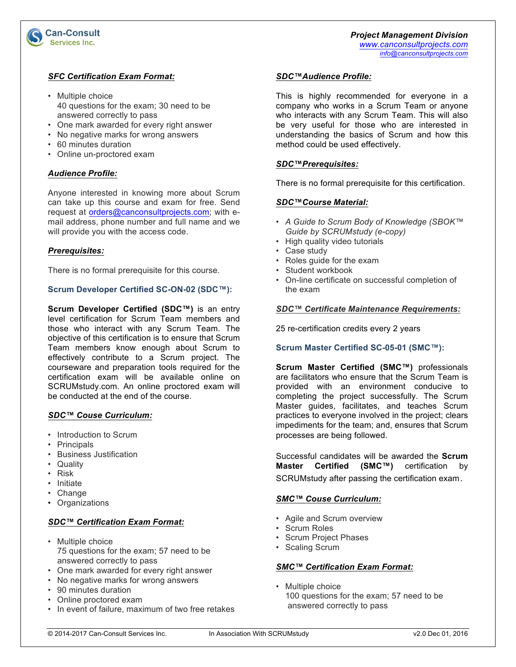

# *SFC Certification Exam Format:*

- Multiple choice 40 questions for the exam; 30 need to be answered correctly to pass
- One mark awarded for every right answer
- No negative marks for wrong answers
- 60 minutes duration
- Online un-proctored exam

# *Audience Profile:*

Anyone interested in knowing more about Scrum can take up this course and exam for free. Send request at orders@canconsultprojects.com; with email address, phone number and full name and we will provide you with the access code.

## *Prerequisites:*

There is no formal prerequisite for this course.

# **Scrum Developer Certified SC-ON-02 (SDC™):**

**Scrum Developer Certified (SDC™)** is an entry level certification for Scrum Team members and those who interact with any Scrum Team. The objective of this certification is to ensure that Scrum Team members know enough about Scrum to effectively contribute to a Scrum project. The courseware and preparation tools required for the certification exam will be available online on SCRUMstudy.com. An online proctored exam will be conducted at the end of the course.

# *SDC™ Couse Curriculum:*

- Introduction to Scrum
- Principals
- Business Justification
- Quality
- Risk
- Initiate
- Change
- Organizations

# *SDC™ Certification Exam Format:*

- Multiple choice 75 questions for the exam; 57 need to be answered correctly to pass
- One mark awarded for every right answer
- No negative marks for wrong answers
- 90 minutes duration
- Online proctored exam
- In event of failure, maximum of two free retakes

## *SDC™Audience Profile:*

This is highly recommended for everyone in a company who works in a Scrum Team or anyone who interacts with any Scrum Team. This will also be very useful for those who are interested in understanding the basics of Scrum and how this method could be used effectively.

# *SDC™Prerequisites:*

There is no formal prerequisite for this certification.

## *SDC™Course Material:*

- *A Guide to Scrum Body of Knowledge (SBOK™ Guide by SCRUMstudy (e-copy)*
- High quality video tutorials
- Case study
- Roles guide for the exam
- Student workbook
- On-line certificate on successful completion of the exam

### *SDC™ Certificate Maintenance Requirements:*

25 re-certification credits every 2 years

## **Scrum Master Certified SC-05-01 (SMC™):**

**Scrum Master Certified (SMC™)** professionals are facilitators who ensure that the Scrum Team is provided with an environment conducive to completing the project successfully. The Scrum Master guides, facilitates, and teaches Scrum practices to everyone involved in the project; clears impediments for the team; and, ensures that Scrum processes are being followed.

Successful candidates will be awarded the **Scrum Master Certified (SMC™)** certification by SCRUMstudy after passing the certification exam.

# *SMC™ Couse Curriculum:*

- Agile and Scrum overview
- Scrum Roles
- Scrum Project Phases
- Scaling Scrum

## *SMC™ Certification Exam Format:*

• Multiple choice 100 questions for the exam; 57 need to be answered correctly to pass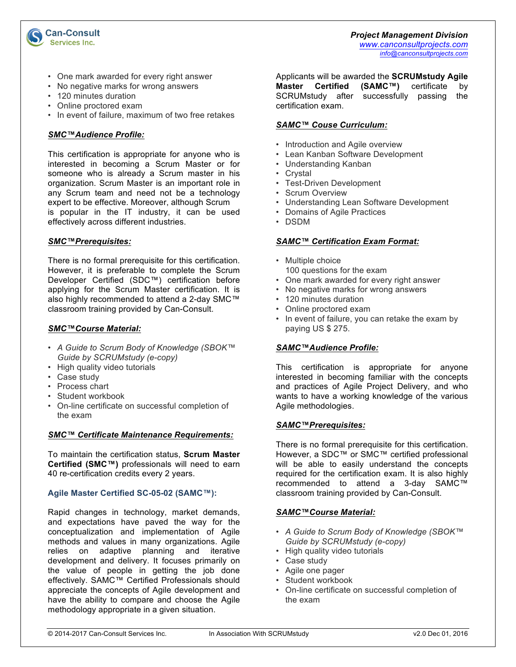

- One mark awarded for every right answer
- No negative marks for wrong answers
- 120 minutes duration

**Can-Consult Services Inc.** 

- Online proctored exam
- In event of failure, maximum of two free retakes

## *SMC™Audience Profile:*

This certification is appropriate for anyone who is interested in becoming a Scrum Master or for someone who is already a Scrum master in his organization. Scrum Master is an important role in any Scrum team and need not be a technology expert to be effective. Moreover, although Scrum is popular in the IT industry, it can be used effectively across different industries.

### *SMC™Prerequisites:*

There is no formal prerequisite for this certification. However, it is preferable to complete the Scrum Developer Certified (SDC™) certification before applying for the Scrum Master certification. It is also highly recommended to attend a 2-day SMC™ classroom training provided by Can-Consult.

### *SMC™Course Material:*

- *A Guide to Scrum Body of Knowledge (SBOK™ Guide by SCRUMstudy (e-copy)*
- High quality video tutorials
- Case study
- Process chart
- Student workbook
- On-line certificate on successful completion of the exam

## *SMC™ Certificate Maintenance Requirements:*

To maintain the certification status, **Scrum Master Certified (SMC™)** professionals will need to earn 40 re-certification credits every 2 years.

## **Agile Master Certified SC-05-02 (SAMC™):**

Rapid changes in technology, market demands, and expectations have paved the way for the conceptualization and implementation of Agile methods and values in many organizations. Agile relies on adaptive planning and iterative development and delivery. It focuses primarily on the value of people in getting the job done effectively. SAMC™ Certified Professionals should appreciate the concepts of Agile development and have the ability to compare and choose the Agile methodology appropriate in a given situation.

Applicants will be awarded the **SCRUMstudy Agile Master Certified (SAMC™)** certificate by SCRUMstudy after successfully passing the certification exam.

## *SAMC™ Couse Curriculum:*

- Introduction and Agile overview
- Lean Kanban Software Development
- Understanding Kanban
- Crystal
- Test-Driven Development
- Scrum Overview
- Understanding Lean Software Development
- Domains of Agile Practices
- DSDM

### *SAMC™ Certification Exam Format:*

- Multiple choice 100 questions for the exam
- One mark awarded for every right answer
- No negative marks for wrong answers
- 120 minutes duration
- Online proctored exam
- In event of failure, you can retake the exam by paying US \$ 275.

## *SAMC™Audience Profile:*

This certification is appropriate for anyone interested in becoming familiar with the concepts and practices of Agile Project Delivery, and who wants to have a working knowledge of the various Agile methodologies.

## *SAMC™Prerequisites:*

There is no formal prerequisite for this certification. However, a SDC™ or SMC™ certified professional will be able to easily understand the concepts required for the certification exam. It is also highly recommended to attend a 3-day SAMC™ classroom training provided by Can-Consult.

## *SAMC™Course Material:*

- *A Guide to Scrum Body of Knowledge (SBOK™ Guide by SCRUMstudy (e-copy)*
- High quality video tutorials
- Case study
- Agile one pager
- Student workbook
- On-line certificate on successful completion of the exam